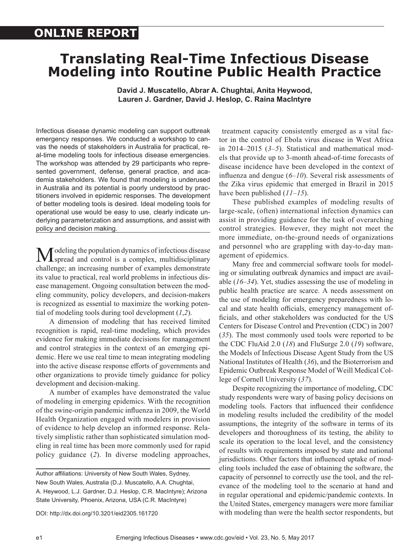# **ONLINE REPORT**

# **Translating Real-Time Infectious Disease Modeling into Routine Public Health Practice**

**David J. Muscatello, Abrar A. Chughtai, Anita Heywood, Lauren J. Gardner, David J. Heslop, C. Raina MacIntyre**

Infectious disease dynamic modeling can support outbreak emergency responses. We conducted a workshop to canvas the needs of stakeholders in Australia for practical, real-time modeling tools for infectious disease emergencies. The workshop was attended by 29 participants who represented government, defense, general practice, and academia stakeholders. We found that modeling is underused in Australia and its potential is poorly understood by practitioners involved in epidemic responses. The development of better modeling tools is desired. Ideal modeling tools for operational use would be easy to use, clearly indicate underlying parameterization and assumptions, and assist with policy and decision making.

Modeling the population dynamics of infectious disease<br>spread and control is a complex, multidisciplinary challenge; an increasing number of examples demonstrate its value to practical, real world problems in infectious disease management. Ongoing consultation between the modeling community, policy developers, and decision-makers is recognized as essential to maximize the working potential of modeling tools during tool development (*1*,*2*).

A dimension of modeling that has received limited recognition is rapid, real-time modeling, which provides evidence for making immediate decisions for management and control strategies in the context of an emerging epidemic. Here we use real time to mean integrating modeling into the active disease response efforts of governments and other organizations to provide timely guidance for policy development and decision-making.

A number of examples have demonstrated the value of modeling in emerging epidemics. With the recognition of the swine-origin pandemic influenza in 2009, the World Health Organization engaged with modelers in provision of evidence to help develop an informed response. Relatively simplistic rather than sophisticated simulation modeling in real time has been more commonly used for rapid policy guidance (*2*). In diverse modeling approaches,

 treatment capacity consistently emerged as a vital factor in the control of Ebola virus disease in West Africa in 2014–2015 (*3*–*5*). Statistical and mathematical models that provide up to 3-month ahead-of-time forecasts of disease incidence have been developed in the context of influenza and dengue (*6*–*10*). Several risk assessments of the Zika virus epidemic that emerged in Brazil in 2015 have been published (*11*–*15*).

These published examples of modeling results of large-scale, (often) international infection dynamics can assist in providing guidance for the task of overarching control strategies. However, they might not meet the more immediate, on-the-ground needs of organizations and personnel who are grappling with day-to-day management of epidemics.

Many free and commercial software tools for modeling or simulating outbreak dynamics and impact are available (*16*–*34*). Yet, studies assessing the use of modeling in public health practice are scarce. A needs assessment on the use of modeling for emergency preparedness with local and state health officials, emergency management officials, and other stakeholders was conducted for the US Centers for Disease Control and Prevention (CDC) in 2007 (*35*). The most commonly used tools were reported to be the CDC FluAid 2.0 (*18*) and FluSurge 2.0 (*19*) software, the Models of Infectious Disease Agent Study from the US National Institutes of Health (*36*), and the Bioterrorism and Epidemic Outbreak Response Model of Weill Medical College of Cornell University (*37*).

Despite recognizing the importance of modeling, CDC study respondents were wary of basing policy decisions on modeling tools. Factors that influenced their confidence in modeling results included the credibility of the model assumptions, the integrity of the software in terms of its developers and thoroughness of its testing, the ability to scale its operation to the local level, and the consistency of results with requirements imposed by state and national jurisdictions. Other factors that influenced uptake of modeling tools included the ease of obtaining the software, the capacity of personnel to correctly use the tool, and the relevance of the modeling tool to the scenario at hand and in regular operational and epidemic/pandemic contexts. In the United States, emergency managers were more familiar with modeling than were the health sector respondents, but

Author affiliations: University of New South Wales, Sydney, New South Wales, Australia (D.J. Muscatello, A.A. Chughtai, A. Heywood, L.J. Gardner, D.J. Heslop, C.R. MacIntyre); Arizona State University, Phoenix, Arizona, USA (C.R. MacIntyre)

DOI: http://dx.doi.org/10.3201/eid2305.161720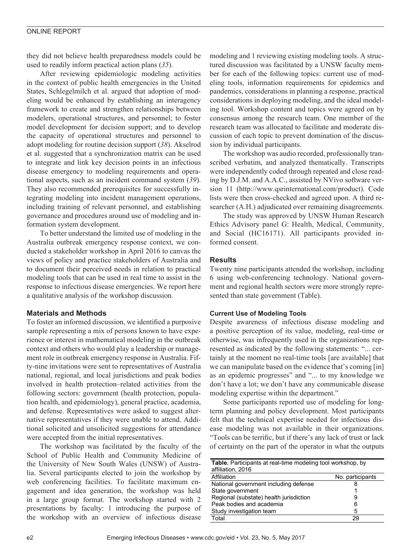# ONLINE REPORT

they did not believe health preparedness models could be used to readily inform practical action plans (*35*).

After reviewing epidemiologic modeling activities in the context of public health emergencies in the United States, Schlegelmilch et al. argued that adoption of modeling would be enhanced by establishing an interagency framework to create and strengthen relationships between modelers, operational structures, and personnel; to foster model development for decision support; and to develop the capacity of operational structures and personnel to adopt modeling for routine decision support (*38*). Akselrod et al. suggested that a synchronization matrix can be used to integrate and link key decision points in an infectious disease emergency to modeling requirements and operational aspects, such as an incident command system (*39*). They also recommended prerequisites for successfully integrating modeling into incident management operations, including training of relevant personnel, and establishing governance and procedures around use of modeling and information system development.

To better understand the limited use of modeling in the Australia outbreak emergency response context, we conducted a stakeholder workshop in April 2016 to canvas the views of policy and practice stakeholders of Australia and to document their perceived needs in relation to practical modeling tools that can be used in real time to assist in the response to infectious disease emergencies. We report here a qualitative analysis of the workshop discussion.

# **Materials and Methods**

To foster an informed discussion, we identified a purposive sample representing a mix of persons known to have experience or interest in mathematical modeling in the outbreak context and others who would play a leadership or management role in outbreak emergency response in Australia. Fifty-nine invitations were sent to representatives of Australia national, regional, and local jurisdictions and peak bodies involved in health protection–related activities from the following sectors: government (health protection, population health, and epidemiology), general practice, academia, and defense. Representatives were asked to suggest alternative representatives if they were unable to attend. Additional solicited and unsolicited suggestions for attendance were accepted from the initial representatives.

The workshop was facilitated by the faculty of the School of Public Health and Community Medicine of the University of New South Wales (UNSW) of Australia. Several participants elected to join the workshop by web conferencing facilities. To facilitate maximum engagement and idea generation, the workshop was held in a large group format. The workshop started with 2 presentations by faculty: 1 introducing the purpose of the workshop with an overview of infectious disease

modeling and 1 reviewing existing modeling tools. A structured discussion was facilitated by a UNSW faculty member for each of the following topics: current use of modeling tools, information requirements for epidemics and pandemics, considerations in planning a response, practical considerations in deploying modeling, and the ideal modeling tool. Workshop content and topics were agreed on by consensus among the research team. One member of the research team was allocated to facilitate and moderate discussion of each topic to prevent domination of the discussion by individual participants.

The workshop was audio recorded, professionally transcribed verbatim, and analyzed thematically. Transcripts were independently coded through repeated and close reading by D.J.M. and A.A.C., assisted by NVivo software version 11 (http://www.qsrinternational.com/product). Code lists were then cross-checked and agreed upon. A third researcher (A.H.) adjudicated over remaining disagreements.

The study was approved by UNSW Human Research Ethics Advisory panel G: Health, Medical, Community, and Social (HC16171). All participants provided informed consent.

# **Results**

Twenty nine participants attended the workshop, including 6 using web-conferencing technology. National government and regional health sectors were more strongly represented than state government (Table).

## **Current Use of Modeling Tools**

Despite awareness of infectious disease modeling and a positive perception of its value, modeling, real-time or otherwise, was infrequently used in the organizations represented as indicated by the following statements: "... certainly at the moment no real-time tools [are available] that we can manipulate based on the evidence that's coming [in] as an epidemic progresses" and "... to my knowledge we don't have a lot; we don't have any communicable disease modeling expertise within the department."

Some participants reported use of modeling for longterm planning and policy development. Most participants felt that the technical expertise needed for infectious disease modeling was not available in their organizations. "Tools can be terrific, but if there's any lack of trust or lack of certainty on the part of the operator in what the outputs

| <b>Table.</b> Participants at real-time modeling tool workshop, by |                  |
|--------------------------------------------------------------------|------------------|
| affiliation, 2016                                                  |                  |
| Affiliation                                                        | No. participants |
| National government including defense                              | 8                |
| State government                                                   |                  |
| Regional (substate) health jurisdiction                            | 9                |
| Peak bodies and academia                                           | 6                |
| Study investigation team                                           | 5                |
| Total                                                              | つロ               |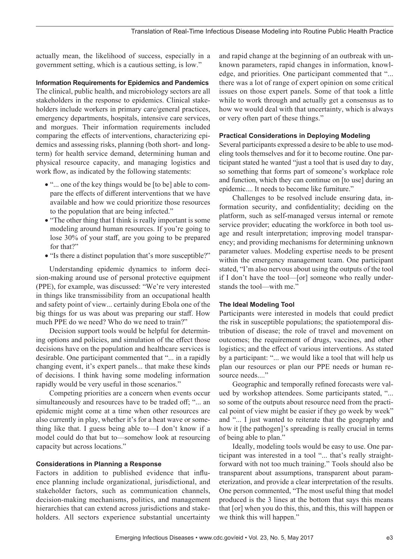actually mean, the likelihood of success, especially in a government setting, which is a cautious setting, is low."

## **Information Requirements for Epidemics and Pandemics**

The clinical, public health, and microbiology sectors are all stakeholders in the response to epidemics. Clinical stakeholders include workers in primary care/general practices, emergency departments, hospitals, intensive care services, and morgues. Their information requirements included comparing the effects of interventions, characterizing epidemics and assessing risks, planning (both short- and longterm) for health service demand, determining human and physical resource capacity, and managing logistics and work flow, as indicated by the following statements:

- "... one of the key things would be [to be] able to compare the effects of different interventions that we have available and how we could prioritize those resources to the population that are being infected."
- "The other thing that I think is really important is some modeling around human resources. If you're going to lose 30% of your staff, are you going to be prepared for that?"
- "Is there a distinct population that's more susceptible?"

Understanding epidemic dynamics to inform decision-making around use of personal protective equipment (PPE), for example, was discussed: "We're very interested in things like transmissibility from an occupational health and safety point of view... certainly during Ebola one of the big things for us was about was preparing our staff. How much PPE do we need? Who do we need to train?"

Decision support tools would be helpful for determining options and policies, and simulation of the effect those decisions have on the population and healthcare services is desirable. One participant commented that "... in a rapidly changing event, it's expert panels... that make these kinds of decisions. I think having some modeling information rapidly would be very useful in those scenarios."

Competing priorities are a concern when events occur simultaneously and resources have to be traded off; "... an epidemic might come at a time when other resources are also currently in play, whether it's for a heat wave or something like that. I guess being able to—I don't know if a model could do that but to—somehow look at resourcing capacity but across locations."

### **Considerations in Planning a Response**

Factors in addition to published evidence that influence planning include organizational, jurisdictional, and stakeholder factors, such as communication channels, decision-making mechanisms, politics, and management hierarchies that can extend across jurisdictions and stakeholders. All sectors experience substantial uncertainty

and rapid change at the beginning of an outbreak with unknown parameters, rapid changes in information, knowledge, and priorities. One participant commented that "... there was a lot of range of expert opinion on some critical issues on those expert panels. Some of that took a little while to work through and actually get a consensus as to how we would deal with that uncertainty, which is always or very often part of these things."

#### **Practical Considerations in Deploying Modeling**

Several participants expressed a desire to be able to use modeling tools themselves and for it to become routine. One participant stated he wanted "just a tool that is used day to day, so something that forms part of someone's workplace role and function, which they can continue on [to use] during an epidemic.... It needs to become like furniture."

Challenges to be resolved include ensuring data, information security, and confidentiality; deciding on the platform, such as self-managed versus internal or remote service provider; educating the workforce in both tool usage and result interpretation; improving model transparency; and providing mechanisms for determining unknown parameter values. Modeling expertise needs to be present within the emergency management team. One participant stated, "I'm also nervous about using the outputs of the tool if I don't have the tool—[or] someone who really understands the tool—with me."

## **The Ideal Modeling Tool**

Participants were interested in models that could predict the risk in susceptible populations; the spatiotemporal distribution of disease; the role of travel and movement on outcomes; the requirement of drugs, vaccines, and other logistics; and the effect of various interventions. As stated by a participant: "... we would like a tool that will help us plan our resources or plan our PPE needs or human resource needs...."

Geographic and temporally refined forecasts were valued by workshop attendees. Some participants stated, "... so some of the outputs about resource need from the practical point of view might be easier if they go week by week" and "... I just wanted to reiterate that the geography and how it [the pathogen]'s spreading is really crucial in terms of being able to plan."

Ideally, modeling tools would be easy to use. One participant was interested in a tool "... that's really straightforward with not too much training." Tools should also be transparent about assumptions, transparent about parameterization, and provide a clear interpretation of the results. One person commented, "The most useful thing that model produced is the 3 lines at the bottom that says this means that [or] when you do this, this, and this, this will happen or we think this will happen."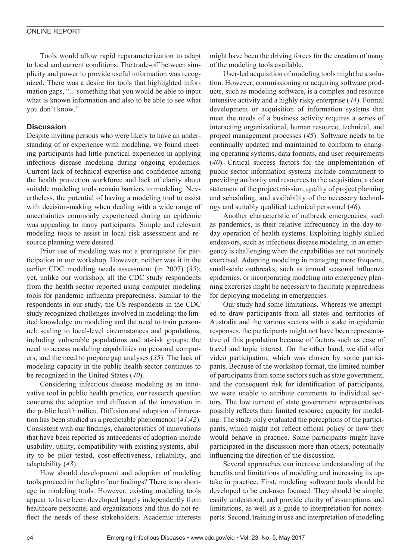Tools would allow rapid reparameterization to adapt to local and current conditions. The trade-off between simplicity and power to provide useful information was recognized. There was a desire for tools that highlighted information gaps, "... something that you would be able to input what is known information and also to be able to see what you don't know."

# **Discussion**

Despite inviting persons who were likely to have an understanding of or experience with modeling, we found meeting participants had little practical experience in applying infectious disease modeling during ongoing epidemics. Current lack of technical expertise and confidence among the health protection workforce and lack of clarity about suitable modeling tools remain barriers to modeling. Nevertheless, the potential of having a modeling tool to assist with decision-making when dealing with a wide range of uncertainties commonly experienced during an epidemic was appealing to many participants. Simple and relevant modeling tools to assist in local risk assessment and resource planning were desired.

Prior use of modeling was not a prerequisite for participation in our workshop. However, neither was it in the earlier CDC modeling needs assessment (in 2007) (*35*); yet, unlike our workshop, all the CDC study respondents from the health sector reported using computer modeling tools for pandemic influenza preparedness. Similar to the respondents in our study, the US respondents in the CDC study recognized challenges involved in modeling: the limited knowledge on modeling and the need to train personnel; scaling to local-level circumstances and populations, including vulnerable populations and at-risk groups; the need to access modeling capabilities on personal computers; and the need to prepare gap analyses (*35*). The lack of modeling capacity in the public health sector continues to be recognized in the United States (*40*).

Considering infectious disease modeling as an innovative tool in public health practice, our research question concerns the adoption and diffusion of the innovation in the public health milieu. Diffusion and adoption of innovation has been studied as a predictable phenomenon (*41*,*42*). Consistent with our findings, characteristics of innovations that have been reported as antecedents of adoption include usability, utility, compatibility with existing systems, ability to be pilot tested, cost-effectiveness, reliability, and adaptability (*43*).

How should development and adoption of modeling tools proceed in the light of our findings? There is no shortage in modeling tools. However, existing modeling tools appear to have been developed largely independently from healthcare personnel and organizations and thus do not reflect the needs of these stakeholders. Academic interests

might have been the driving forces for the creation of many of the modeling tools available.

User-led acquisition of modeling tools might be a solution. However, commissioning or acquiring software products, such as modeling software, is a complex and resource intensive activity and a highly risky enterprise (*44*). Formal development or acquisition of information systems that meet the needs of a business activity requires a series of interacting organizational, human resource, technical, and project management processes (*45*). Software needs to be continually updated and maintained to conform to changing operating systems, data formats, and user requirements (*40*). Critical success factors for the implementation of public sector information systems include commitment to providing authority and resources to the acquisition, a clear statement of the project mission, quality of project planning and scheduling, and availability of the necessary technology and suitably qualified technical personnel (*46*).

Another characteristic of outbreak emergencies, such as pandemics, is their relative infrequency in the day-today operation of health systems. Exploiting highly skilled endeavors, such as infectious disease modeling, in an emergency is challenging when the capabilities are not routinely exercised. Adopting modeling in managing more frequent, small-scale outbreaks, such as annual seasonal influenza epidemics, or incorporating modeling into emergency planning exercises might be necessary to facilitate preparedness for deploying modeling in emergencies.

Our study had some limitations. Whereas we attempted to draw participants from all states and territories of Australia and the various sectors with a stake in epidemic responses, the participants might not have been representative of this population because of factors such as ease of travel and topic interest. On the other hand, we did offer video participation, which was chosen by some participants. Because of the workshop format, the limited number of participants from some sectors such as state government, and the consequent risk for identification of participants, we were unable to attribute comments to individual sectors. The low turnout of state government representatives possibly reflects their limited resource capacity for modeling. The study only evaluated the perceptions of the participants, which might not reflect official policy or how they would behave in practice. Some participants might have participated in the discussion more than others, potentially influencing the direction of the discussion.

Several approaches can increase understanding of the benefits and limitations of modeling and increasing its uptake in practice. First, modeling software tools should be developed to be end-user focused. They should be simple, easily understood, and provide clarity of assumptions and limitations, as well as a guide to interpretation for nonexperts. Second, training in use and interpretation of modeling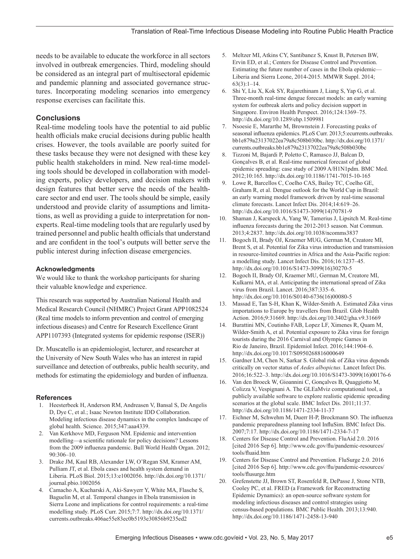needs to be available to educate the workforce in all sectors involved in outbreak emergencies. Third, modeling should be considered as an integral part of multisectoral epidemic and pandemic planning and associated governance structures. Incorporating modeling scenarios into emergency response exercises can facilitate this.

# **Conclusions**

Real-time modeling tools have the potential to aid public health officials make crucial decisions during public health crises. However, the tools available are poorly suited for these tasks because they were not designed with these key public health stakeholders in mind. New real-time modeling tools should be developed in collaboration with modeling experts, policy developers, and decision makers with design features that better serve the needs of the healthcare sector and end user. The tools should be simple, easily understood and provide clarity of assumptions and limitations, as well as providing a guide to interpretation for nonexperts. Real-time modeling tools that are regularly used by trained personnel and public health officials that understand and are confident in the tool's outputs will better serve the public interest during infection disease emergencies.

## **Acknowledgments**

We would like to thank the workshop participants for sharing their valuable knowledge and experience.

This research was supported by Australian National Health and Medical Research Council (NHMRC) Project Grant APP1082524 (Real time models to inform prevention and control of emerging infectious diseases) and Centre for Research Excellence Grant APP1107393 (Integrated systems for epidemic response (ISER))

Dr. Muscatello is an epidemiologist, lecturer, and researcher at the University of New South Wales who has an interest in rapid surveillance and detection of outbreaks, public health security, and methods for estimating the epidemiology and burden of influenza.

## **References**

- 1. Heesterbeek H, Anderson RM, Andreasen V, Bansal S, De Angelis D, Dye C, et al.; Isaac Newton Institute IDD Collaboration. Modeling infectious disease dynamics in the complex landscape of global health. Science. 2015;347:aaa4339.
- 2. Van Kerkhove MD, Ferguson NM. Epidemic and intervention modelling—a scientific rationale for policy decisions? Lessons from the 2009 influenza pandemic. Bull World Health Organ. 2012; 90:306–10.
- 3. Drake JM, Kaul RB, Alexander LW, O'Regan SM, Kramer AM, Pulliam JT, et al. Ebola cases and health system demand in Liberia. PLoS Biol. 2015;13:e1002056. http://dx.doi.org/10.1371/ journal.pbio.1002056
- 4. Camacho A, Kucharski A, Aki-Sawyerr Y, White MA, Flasche S, Baguelin M, et al. Temporal changes in Ebola transmission in Sierra Leone and implications for control requirements: a real-time modelling study. PLoS Curr. 2015;7:7. http://dx.doi.org/10.1371/ currents.outbreaks.406ae55e83ec0b5193e30856b9235ed2
- 5. Meltzer MI, Atkins CY, Santibanez S, Knust B, Petersen BW, Ervin ED, et al.; Centers for Disease Control and Prevention. Estimating the future number of cases in the Ebola epidemic— Liberia and Sierra Leone, 2014-2015. MMWR Suppl. 2014;  $63(3):1-14.$
- 6. Shi Y, Liu X, Kok SY, Rajarethinam J, Liang S, Yap G, et al. Three-month real-time dengue forecast models: an early warning system for outbreak alerts and policy decision support in Singapore. Environ Health Perspect. 2016;124:1369–75. http://dx.doi.org/10.1289/ehp.1509981
- 7. Nsoesie E, Mararthe M, Brownstein J. Forecasting peaks of seasonal influenza epidemics. PLoS Curr. 2013;5:ecurrents.outbreaks. bb1e879a23137022ea79a8c508b030bc. http://dx.doi.org/10.1371/ currents.outbreaks.bb1e879a23137022ea79a8c508b030bc
- 8. Tizzoni M, Bajardi P, Poletto C, Ramasco JJ, Balcan D, Gonçalves B, et al. Real-time numerical forecast of global epidemic spreading: case study of 2009 A/H1N1pdm. BMC Med. 2012;10:165. http://dx.doi.org/10.1186/1741-7015-10-165
- 9. Lowe R, Barcellos C, Coelho CAS, Bailey TC, Coelho GE, Graham R, et al. Dengue outlook for the World Cup in Brazil: an early warning model framework driven by real-time seasonal climate forecasts. Lancet Infect Dis. 2014;14:619–26. http://dx.doi.org/10.1016/S1473-3099(14)70781-9
- 10. Shaman J, Karspeck A, Yang W, Tamerius J, Lipsitch M. Real-time influenza forecasts during the 2012-2013 season. Nat Commun. 2013;4:2837. http://dx.doi.org/10.1038/ncomms3837
- 11. Bogoch II, Brady OJ, Kraemer MUG, German M, Creatore MI, Brent S, et al. Potential for Zika virus introduction and transmission in resource-limited countries in Africa and the Asia-Pacific region: a modelling study. Lancet Infect Dis. 2016;16:1237–45. http://dx.doi.org/10.1016/S1473-3099(16)30270-5
- 12. Bogoch II, Brady OJ, Kraemer MU, German M, Creatore MI, Kulkarni MA, et al. Anticipating the international spread of Zika virus from Brazil. Lancet. 2016;387:335–6. http://dx.doi.org/10.1016/S0140-6736(16)00080-5
- 13. Massad E, Tan S-H, Khan K, Wilder-Smith A. Estimated Zika virus importations to Europe by travellers from Brazil. Glob Health Action. 2016;9:31669. http://dx.doi.org/10.3402/gha.v9.31669
- 14. Burattini MN, Coutinho FAB, Lopez LF, Ximenes R, Quam M, Wilder-Smith A, et al. Potential exposure to Zika virus for foreign tourists during the 2016 Carnival and Olympic Games in Rio de Janeiro, Brazil. Epidemiol Infect. 2016;144:1904–6. http://dx.doi.org/10.1017/S0950268816000649
- 15. Gardner LM, Chen N, Sarkar S. Global risk of Zika virus depends critically on vector status of *Aedes albopictus.* Lancet Infect Dis. 2016;16:522–3. http://dx.doi.org/10.1016/S1473-3099(16)00176-6
- 16. Van den Broeck W, Gioannini C, Gonçalves B, Quaggiotto M, Colizza V, Vespignani A. The GLEaMviz computational tool, a publicly available software to explore realistic epidemic spreading scenarios at the global scale. BMC Infect Dis. 2011;11:37. http://dx.doi.org/10.1186/1471-2334-11-37
- 17. Eichner M, Schwehm M, Duerr H-P, Brockmann SO. The influenza pandemic preparedness planning tool InfluSim. BMC Infect Dis. 2007;7:17. http://dx.doi.org/10.1186/1471-2334-7-17
- 18. Centers for Disease Control and Prevention. FluAid 2.0. 2016 [cited 2016 Sep 6]. http://www.cdc.gov/flu/pandemic-resources/ tools/fluaid.htm
- 19. Centers for Disease Control and Prevention. FluSurge 2.0. 2016 [cited 2016 Sep 6]. http://www.cdc.gov/flu/pandemic-resources/ tools/flusurge.htm
- 20. Grefenstette JJ, Brown ST, Rosenfeld R, DePasse J, Stone NTB, Cooley PC, et al. FRED (a Framework for Reconstructing Epidemic Dynamics): an open-source software system for modeling infectious diseases and control strategies using census-based populations. BMC Public Health. 2013;13:940. http://dx.doi.org/10.1186/1471-2458-13-940